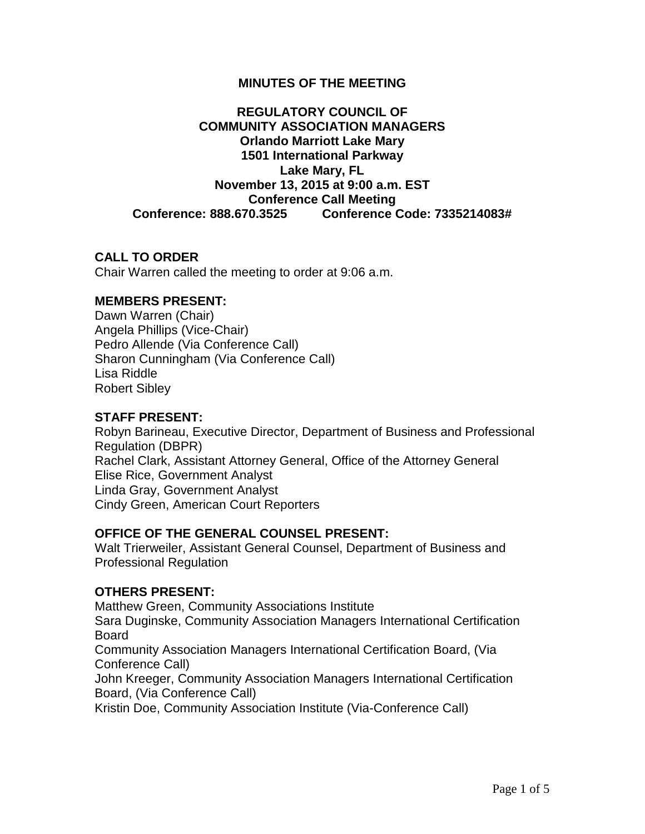### **MINUTES OF THE MEETING**

# **REGULATORY COUNCIL OF COMMUNITY ASSOCIATION MANAGERS Orlando Marriott Lake Mary 1501 International Parkway Lake Mary, FL November 13, 2015 at 9:00 a.m. EST Conference Call Meeting Conference: 888.670.3525 Conference Code: 7335214083#**

### **CALL TO ORDER**

Chair Warren called the meeting to order at 9:06 a.m.

#### **MEMBERS PRESENT:**

Dawn Warren (Chair) Angela Phillips (Vice-Chair) Pedro Allende (Via Conference Call) Sharon Cunningham (Via Conference Call) Lisa Riddle Robert Sibley

#### **STAFF PRESENT:**

Robyn Barineau, Executive Director, Department of Business and Professional Regulation (DBPR) Rachel Clark, Assistant Attorney General, Office of the Attorney General Elise Rice, Government Analyst Linda Gray, Government Analyst Cindy Green, American Court Reporters

# **OFFICE OF THE GENERAL COUNSEL PRESENT:**

Walt Trierweiler, Assistant General Counsel, Department of Business and Professional Regulation

#### **OTHERS PRESENT:**

Matthew Green, Community Associations Institute Sara Duginske, Community Association Managers International Certification Board Community Association Managers International Certification Board, (Via Conference Call) John Kreeger, Community Association Managers International Certification Board, (Via Conference Call) Kristin Doe, Community Association Institute (Via-Conference Call)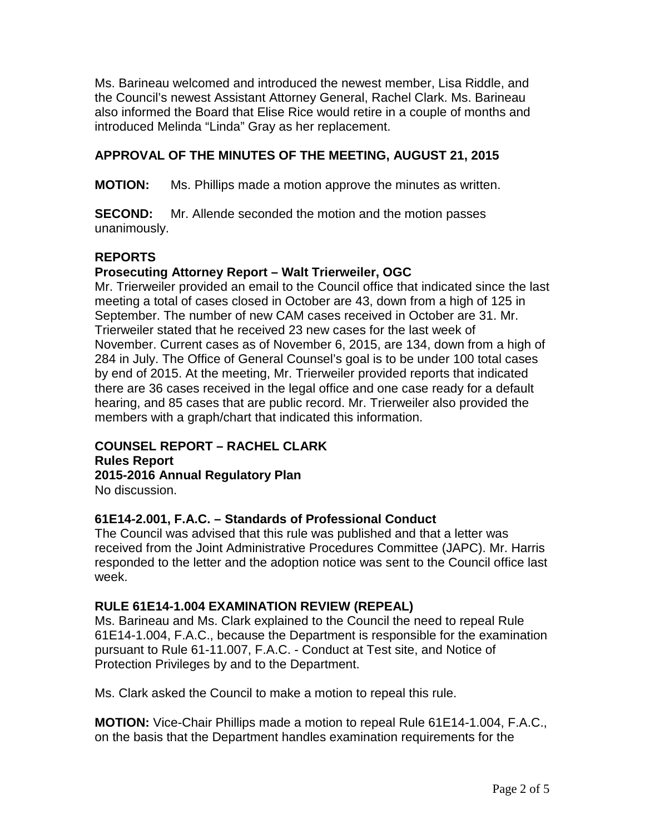Ms. Barineau welcomed and introduced the newest member, Lisa Riddle, and the Council's newest Assistant Attorney General, Rachel Clark. Ms. Barineau also informed the Board that Elise Rice would retire in a couple of months and introduced Melinda "Linda" Gray as her replacement.

# **APPROVAL OF THE MINUTES OF THE MEETING, AUGUST 21, 2015**

**MOTION:** Ms. Phillips made a motion approve the minutes as written.

**SECOND:** Mr. Allende seconded the motion and the motion passes unanimously.

# **REPORTS**

# **Prosecuting Attorney Report – Walt Trierweiler, OGC**

Mr. Trierweiler provided an email to the Council office that indicated since the last meeting a total of cases closed in October are 43, down from a high of 125 in September. The number of new CAM cases received in October are 31. Mr. Trierweiler stated that he received 23 new cases for the last week of November. Current cases as of November 6, 2015, are 134, down from a high of 284 in July. The Office of General Counsel's goal is to be under 100 total cases by end of 2015. At the meeting, Mr. Trierweiler provided reports that indicated there are 36 cases received in the legal office and one case ready for a default hearing, and 85 cases that are public record. Mr. Trierweiler also provided the members with a graph/chart that indicated this information.

# **COUNSEL REPORT – RACHEL CLARK**

**Rules Report 2015-2016 Annual Regulatory Plan** No discussion.

# **61E14-2.001, F.A.C. – Standards of Professional Conduct**

The Council was advised that this rule was published and that a letter was received from the Joint Administrative Procedures Committee (JAPC). Mr. Harris responded to the letter and the adoption notice was sent to the Council office last week.

# **RULE 61E14-1.004 EXAMINATION REVIEW (REPEAL)**

Ms. Barineau and Ms. Clark explained to the Council the need to repeal Rule 61E14-1.004, F.A.C., because the Department is responsible for the examination pursuant to Rule 61-11.007, F.A.C. - Conduct at Test site, and Notice of Protection Privileges by and to the Department.

Ms. Clark asked the Council to make a motion to repeal this rule.

**MOTION:** Vice-Chair Phillips made a motion to repeal Rule 61E14-1.004, F.A.C., on the basis that the Department handles examination requirements for the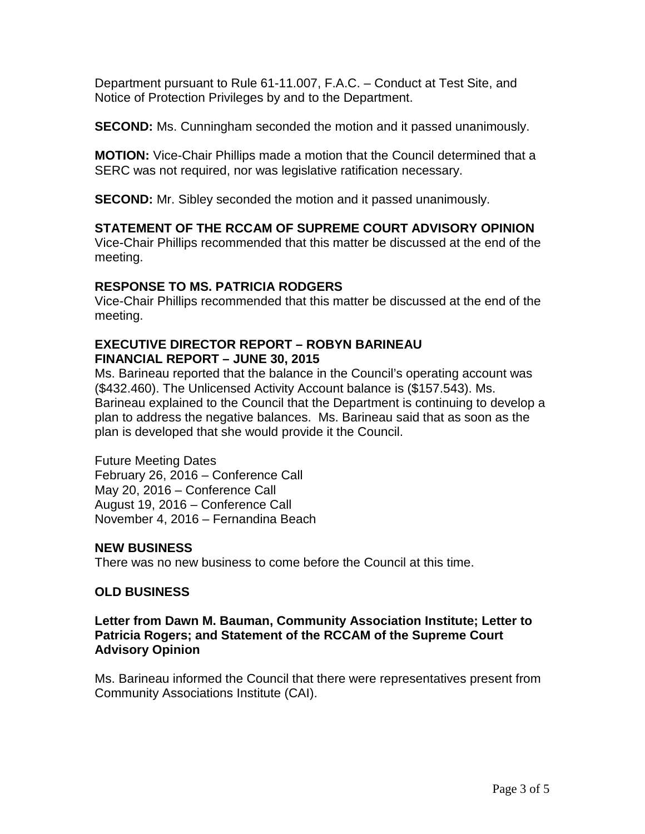Department pursuant to Rule 61-11.007, F.A.C. – Conduct at Test Site, and Notice of Protection Privileges by and to the Department.

**SECOND:** Ms. Cunningham seconded the motion and it passed unanimously.

**MOTION:** Vice-Chair Phillips made a motion that the Council determined that a SERC was not required, nor was legislative ratification necessary.

**SECOND:** Mr. Sibley seconded the motion and it passed unanimously.

# **STATEMENT OF THE RCCAM OF SUPREME COURT ADVISORY OPINION**

Vice-Chair Phillips recommended that this matter be discussed at the end of the meeting.

# **RESPONSE TO MS. PATRICIA RODGERS**

Vice-Chair Phillips recommended that this matter be discussed at the end of the meeting.

# **EXECUTIVE DIRECTOR REPORT – ROBYN BARINEAU FINANCIAL REPORT – JUNE 30, 2015**

Ms. Barineau reported that the balance in the Council's operating account was (\$432.460). The Unlicensed Activity Account balance is (\$157.543). Ms. Barineau explained to the Council that the Department is continuing to develop a plan to address the negative balances. Ms. Barineau said that as soon as the plan is developed that she would provide it the Council.

Future Meeting Dates February 26, 2016 – Conference Call May 20, 2016 – Conference Call August 19, 2016 – Conference Call November 4, 2016 – Fernandina Beach

# **NEW BUSINESS**

There was no new business to come before the Council at this time.

# **OLD BUSINESS**

### **Letter from Dawn M. Bauman, Community Association Institute; Letter to Patricia Rogers; and Statement of the RCCAM of the Supreme Court Advisory Opinion**

Ms. Barineau informed the Council that there were representatives present from Community Associations Institute (CAI).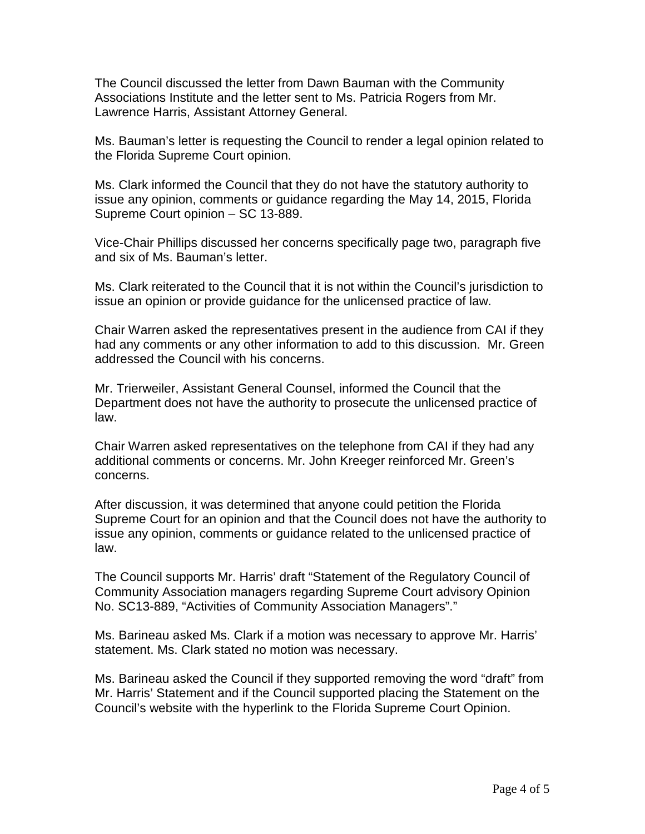The Council discussed the letter from Dawn Bauman with the Community Associations Institute and the letter sent to Ms. Patricia Rogers from Mr. Lawrence Harris, Assistant Attorney General.

Ms. Bauman's letter is requesting the Council to render a legal opinion related to the Florida Supreme Court opinion.

Ms. Clark informed the Council that they do not have the statutory authority to issue any opinion, comments or guidance regarding the May 14, 2015, Florida Supreme Court opinion – SC 13-889.

Vice-Chair Phillips discussed her concerns specifically page two, paragraph five and six of Ms. Bauman's letter.

Ms. Clark reiterated to the Council that it is not within the Council's jurisdiction to issue an opinion or provide guidance for the unlicensed practice of law.

Chair Warren asked the representatives present in the audience from CAI if they had any comments or any other information to add to this discussion. Mr. Green addressed the Council with his concerns.

Mr. Trierweiler, Assistant General Counsel, informed the Council that the Department does not have the authority to prosecute the unlicensed practice of law.

Chair Warren asked representatives on the telephone from CAI if they had any additional comments or concerns. Mr. John Kreeger reinforced Mr. Green's concerns.

After discussion, it was determined that anyone could petition the Florida Supreme Court for an opinion and that the Council does not have the authority to issue any opinion, comments or guidance related to the unlicensed practice of law.

The Council supports Mr. Harris' draft "Statement of the Regulatory Council of Community Association managers regarding Supreme Court advisory Opinion No. SC13-889, "Activities of Community Association Managers"."

Ms. Barineau asked Ms. Clark if a motion was necessary to approve Mr. Harris' statement. Ms. Clark stated no motion was necessary.

Ms. Barineau asked the Council if they supported removing the word "draft" from Mr. Harris' Statement and if the Council supported placing the Statement on the Council's website with the hyperlink to the Florida Supreme Court Opinion.